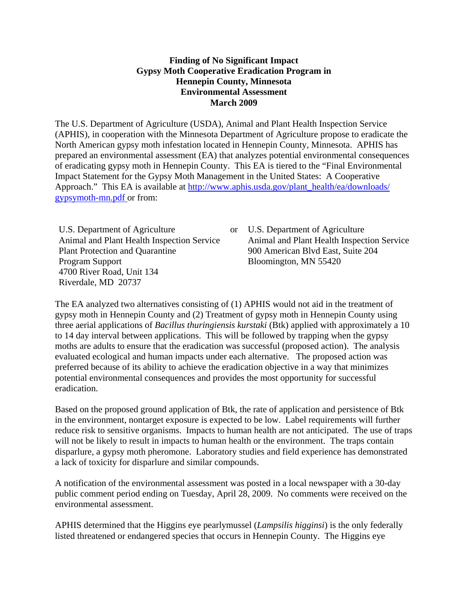#### **Finding of No Significant Impact Gypsy Moth Cooperative Eradication Program in Hennepin County, Minnesota Environmental Assessment March 2009**

The U.S. Department of Agriculture (USDA), Animal and Plant Health Inspection Service (APHIS), in cooperation with the Minnesota Department of Agriculture propose to eradicate the North American gypsy moth infestation located in Hennepin County, Minnesota. APHIS has prepared an environmental assessment (EA) that analyzes potential environmental consequences of eradicating gypsy moth in Hennepin County. This EA is tiered to the "Final Environmental Impact Statement for the Gypsy Moth Management in the United States: A Cooperative Approach." This EA is available at http://www.aphis.usda.gov/plant\_health/ea/downloads/ [gypsymoth-mn.pdf o](http://www.aphis.usda.gov/plant_health/ea/downloads/gypsymoth-mn.pdf)r from:

U.S. Department of Agriculture Animal and Plant Health Inspection Service Plant Protection and Quarantine Program Support 4700 River Road, Unit 134 Riverdale, MD 20737

U.S. Department of Agriculture Animal and Plant Health Inspection Service 900 American Blvd East, Suite 204 Bloomington, MN 55420

The EA analyzed two alternatives consisting of (1) APHIS would not aid in the treatment of gypsy moth in Hennepin County and (2) Treatment of gypsy moth in Hennepin County using three aerial applications of *Bacillus thuringiensis kurstaki* (Btk) applied with approximately a 10 to 14 day interval between applications. This will be followed by trapping when the gypsy moths are adults to ensure that the eradication was successful (proposed action). The analysis evaluated ecological and human impacts under each alternative. The proposed action was preferred because of its ability to achieve the eradication objective in a way that minimizes potential environmental consequences and provides the most opportunity for successful eradication.

Based on the proposed ground application of Btk, the rate of application and persistence of Btk in the environment, nontarget exposure is expected to be low. Label requirements will further reduce risk to sensitive organisms. Impacts to human health are not anticipated. The use of traps will not be likely to result in impacts to human health or the environment. The traps contain disparlure, a gypsy moth pheromone. Laboratory studies and field experience has demonstrated a lack of toxicity for disparlure and similar compounds.

A notification of the environmental assessment was posted in a local newspaper with a 30-day public comment period ending on Tuesday, April 28, 2009. No comments were received on the environmental assessment.

APHIS determined that the Higgins eye pearlymussel (*Lampsilis higginsi*) is the only federally listed threatened or endangered species that occurs in Hennepin County. The Higgins eye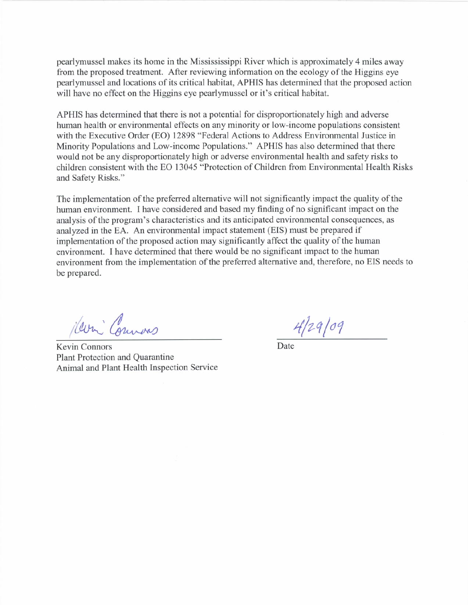pearlymussel makes its home in the Missississippi River which is approximately 4 miles away from the proposed treatment. After reviewing information on the ecology of the Higgins eye pearlymussel and locations of its critical habitat, APHIS has determined that the proposed action will have no effect on the Higgins eye pearlymussel or it's critical habitat.

APHIS has determined that there is not a potential for disproportionately high and adverse human health or environmental effects on any minority or low-income populations consistent with the Executive Order (EO) 12898 "Federal Actions to Address Environmental Justice in Minority Populations and Low-income Populations." APHIS has also determined that there would not be any disproportionately high or adverse environmental health and safety risks to children consistent with the EO 13045 "Protection of Children from Environmental Health Risks and Safety Risks."

The implementation of the preferred alternative will not significantly impact the quality of the human environment. I have considered and based my finding of no significant impact on the analysis of the program's characteristics and its anticipated environmental consequences, as analyzed in the EA. An environmental impact statement (EIS) must be prepared if implementation of the proposed action may significantly affect the quality of the human environment. I have determined that there would be no significant impact to the human environment from the implementation of the preferred alternative and, therefore, no EIS needs to be prepared.

Herri Commons

Kevin Connors Plant Protection and Quarantine Animal and Plant Health Inspection Service

 $4/29/09$ 

Date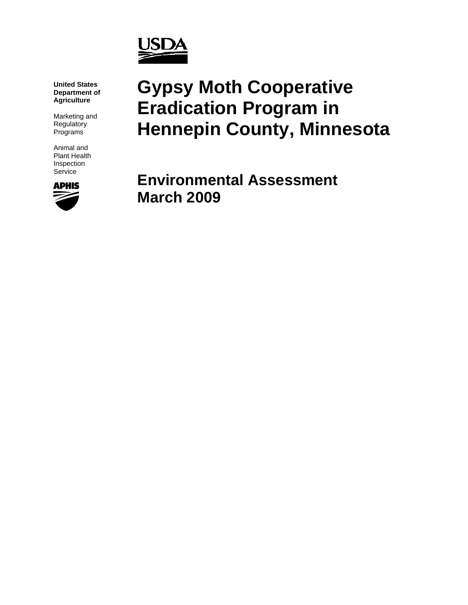

**United States Department of Agriculture** 

Marketing and Regulatory Programs

Animal and Plant Health Inspection Service



# **Gypsy Moth Cooperative Eradication Program in Hennepin County, Minnesota**

**Environmental Assessment March 2009**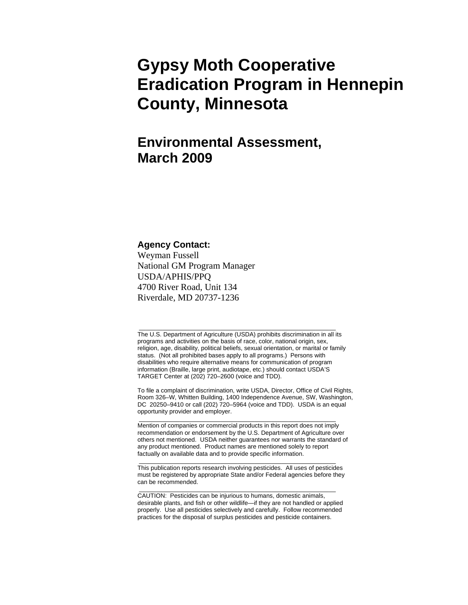# **Gypsy Moth Cooperative Eradication Program in Hennepin County, Minnesota**

# **Environmental Assessment, March 2009**

#### **Agency Contact:**

Weyman Fussell National GM Program Manager USDA/APHIS/PPQ 4700 River Road, Unit 134 Riverdale, MD 20737-1236

The U.S. Department of Agriculture (USDA) prohibits discrimination in all its programs and activities on the basis of race, color, national origin, sex, religion, age, disability, political beliefs, sexual orientation, or marital or family status. (Not all prohibited bases apply to all programs.) Persons with disabilities who require alternative means for communication of program information (Braille, large print, audiotape, etc.) should contact USDA'S TARGET Center at (202) 720–2600 (voice and TDD).

\_\_\_\_\_\_\_\_\_\_\_\_\_\_\_\_\_\_\_\_\_\_\_\_\_\_\_\_\_\_\_\_\_\_\_\_\_\_\_\_\_\_\_\_\_\_\_\_\_\_\_\_\_\_\_\_\_\_

To file a complaint of discrimination, write USDA, Director, Office of Civil Rights, Room 326–W, Whitten Building, 1400 Independence Avenue, SW, Washington, DC 20250–9410 or call (202) 720–5964 (voice and TDD). USDA is an equal opportunity provider and employer.

Mention of companies or commercial products in this report does not imply recommendation or endorsement by the U.S. Department of Agriculture over others not mentioned. USDA neither guarantees nor warrants the standard of any product mentioned. Product names are mentioned solely to report factually on available data and to provide specific information.

\_\_\_\_\_\_\_\_\_\_\_\_\_\_\_\_\_\_\_\_\_\_\_\_\_\_\_\_\_\_\_\_\_\_\_\_\_\_\_\_\_\_\_\_\_\_\_\_\_\_\_\_\_\_\_\_\_\_

\_\_\_\_\_\_\_\_\_\_\_\_\_\_\_\_\_\_\_\_\_\_\_\_\_\_\_\_\_\_\_\_\_\_\_\_\_\_\_\_\_\_\_\_\_\_\_\_\_\_\_\_\_\_\_\_\_\_ This publication reports research involving pesticides. All uses of pesticides must be registered by appropriate State and/or Federal agencies before they can be recommended.

\_\_\_\_\_\_\_\_\_\_\_\_\_\_\_\_\_\_\_\_\_\_\_\_\_\_\_\_\_\_\_\_\_\_\_\_\_\_\_\_\_\_\_\_\_\_\_\_\_\_\_\_\_\_\_\_\_\_

CAUTION: Pesticides can be injurious to humans, domestic animals, desirable plants, and fish or other wildlife—if they are not handled or applied properly. Use all pesticides selectively and carefully. Follow recommended practices for the disposal of surplus pesticides and pesticide containers.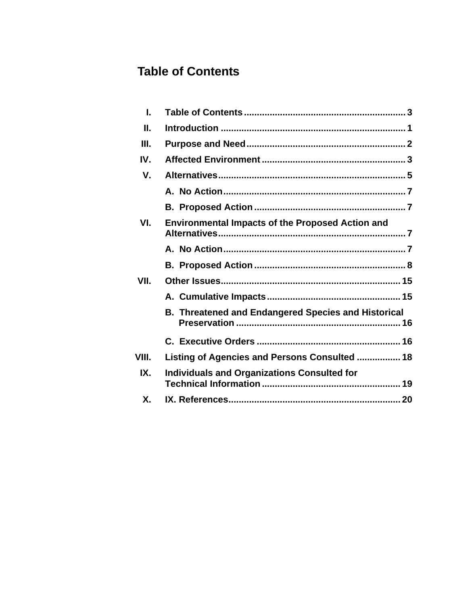# <span id="page-4-0"></span>**Table of Contents**

| L       |                                                            |
|---------|------------------------------------------------------------|
| П.      |                                                            |
| III.    |                                                            |
| IV.     |                                                            |
| $V_{-}$ |                                                            |
|         |                                                            |
|         |                                                            |
| VI.     | <b>Environmental Impacts of the Proposed Action and</b>    |
|         |                                                            |
|         |                                                            |
| VII.    |                                                            |
|         |                                                            |
|         | <b>B. Threatened and Endangered Species and Historical</b> |
|         |                                                            |
| VIII.   | Listing of Agencies and Persons Consulted  18              |
| IX.     | <b>Individuals and Organizations Consulted for</b>         |
| Х.      |                                                            |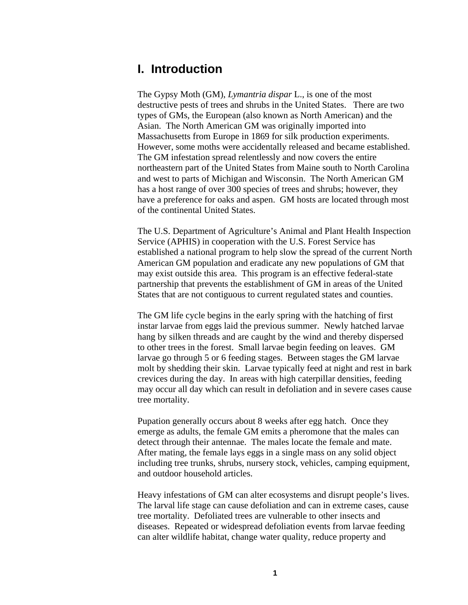# <span id="page-5-0"></span>**I. Introduction**

The Gypsy Moth (GM), *Lymantria dispar* L., is one of the most destructive pests of trees and shrubs in the United States. There are two types of GMs, the European (also known as North American) and the Asian. The North American GM was originally imported into Massachusetts from Europe in 1869 for silk production experiments. However, some moths were accidentally released and became established. The GM infestation spread relentlessly and now covers the entire northeastern part of the United States from Maine south to North Carolina and west to parts of Michigan and Wisconsin. The North American GM has a host range of over 300 species of trees and shrubs; however, they have a preference for oaks and aspen. GM hosts are located through most of the continental United States.

The U.S. Department of Agriculture's Animal and Plant Health Inspection Service (APHIS) in cooperation with the U.S. Forest Service has established a national program to help slow the spread of the current North American GM population and eradicate any new populations of GM that may exist outside this area. This program is an effective federal-state partnership that prevents the establishment of GM in areas of the United States that are not contiguous to current regulated states and counties.

The GM life cycle begins in the early spring with the hatching of first instar larvae from eggs laid the previous summer. Newly hatched larvae hang by silken threads and are caught by the wind and thereby dispersed to other trees in the forest. Small larvae begin feeding on leaves. GM larvae go through 5 or 6 feeding stages. Between stages the GM larvae molt by shedding their skin. Larvae typically feed at night and rest in bark crevices during the day. In areas with high caterpillar densities, feeding may occur all day which can result in defoliation and in severe cases cause tree mortality.

Pupation generally occurs about 8 weeks after egg hatch. Once they emerge as adults, the female GM emits a pheromone that the males can detect through their antennae. The males locate the female and mate. After mating, the female lays eggs in a single mass on any solid object including tree trunks, shrubs, nursery stock, vehicles, camping equipment, and outdoor household articles.

Heavy infestations of GM can alter ecosystems and disrupt people's lives. The larval life stage can cause defoliation and can in extreme cases, cause tree mortality. Defoliated trees are vulnerable to other insects and diseases. Repeated or widespread defoliation events from larvae feeding can alter wildlife habitat, change water quality, reduce property and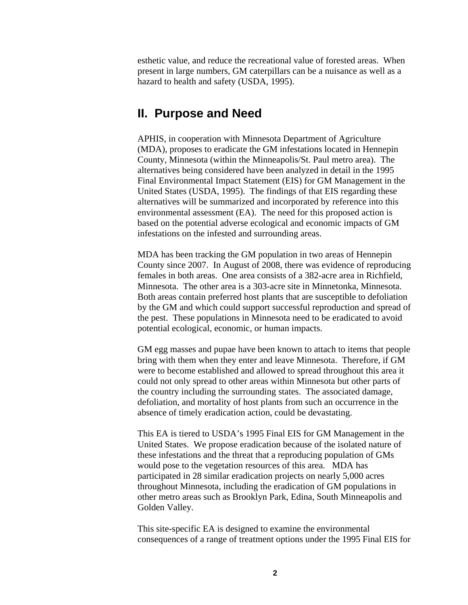<span id="page-6-0"></span>esthetic value, and reduce the recreational value of forested areas. When present in large numbers, GM caterpillars can be a nuisance as well as a hazard to health and safety (USDA, 1995).

### **II. Purpose and Need**

APHIS, in cooperation with Minnesota Department of Agriculture (MDA), proposes to eradicate the GM infestations located in Hennepin County, Minnesota (within the Minneapolis/St. Paul metro area). The alternatives being considered have been analyzed in detail in the 1995 Final Environmental Impact Statement (EIS) for GM Management in the United States (USDA, 1995). The findings of that EIS regarding these alternatives will be summarized and incorporated by reference into this environmental assessment (EA). The need for this proposed action is based on the potential adverse ecological and economic impacts of GM infestations on the infested and surrounding areas.

MDA has been tracking the GM population in two areas of Hennepin County since 2007. In August of 2008, there was evidence of reproducing females in both areas. One area consists of a 382-acre area in Richfield, Minnesota. The other area is a 303-acre site in Minnetonka, Minnesota. Both areas contain preferred host plants that are susceptible to defoliation by the GM and which could support successful reproduction and spread of the pest. These populations in Minnesota need to be eradicated to avoid potential ecological, economic, or human impacts.

GM egg masses and pupae have been known to attach to items that people bring with them when they enter and leave Minnesota. Therefore, if GM were to become established and allowed to spread throughout this area it could not only spread to other areas within Minnesota but other parts of the country including the surrounding states. The associated damage, defoliation, and mortality of host plants from such an occurrence in the absence of timely eradication action, could be devastating.

This EA is tiered to USDA's 1995 Final EIS for GM Management in the United States. We propose eradication because of the isolated nature of these infestations and the threat that a reproducing population of GMs would pose to the vegetation resources of this area. MDA has participated in 28 similar eradication projects on nearly 5,000 acres throughout Minnesota, including the eradication of GM populations in other metro areas such as Brooklyn Park, Edina, South Minneapolis and Golden Valley.

This site-specific EA is designed to examine the environmental consequences of a range of treatment options under the 1995 Final EIS for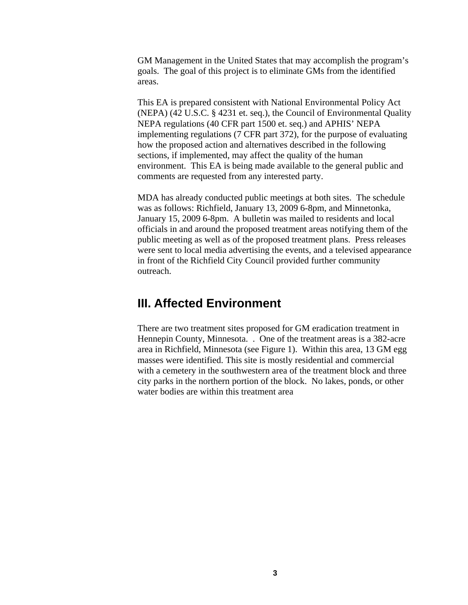<span id="page-7-0"></span>GM Management in the United States that may accomplish the program's goals. The goal of this project is to eliminate GMs from the identified areas.

This EA is prepared consistent with National Environmental Policy Act (NEPA) (42 U.S.C. § 4231 et. seq.), the Council of Environmental Quality NEPA regulations (40 CFR part 1500 et. seq.) and APHIS' NEPA implementing regulations (7 CFR part 372), for the purpose of evaluating how the proposed action and alternatives described in the following sections, if implemented, may affect the quality of the human environment. This EA is being made available to the general public and comments are requested from any interested party.

MDA has already conducted public meetings at both sites. The schedule was as follows: Richfield, January 13, 2009 6-8pm, and Minnetonka, January 15, 2009 6-8pm. A bulletin was mailed to residents and local officials in and around the proposed treatment areas notifying them of the public meeting as well as of the proposed treatment plans. Press releases were sent to local media advertising the events, and a televised appearance in front of the Richfield City Council provided further community outreach.

## **III. Affected Environment**

There are two treatment sites proposed for GM eradication treatment in Hennepin County, Minnesota. . One of the treatment areas is a 382-acre area in Richfield, Minnesota (see Figure 1). Within this area, 13 GM egg masses were identified. This site is mostly residential and commercial with a cemetery in the southwestern area of the treatment block and three city parks in the northern portion of the block. No lakes, ponds, or other water bodies are within this treatment area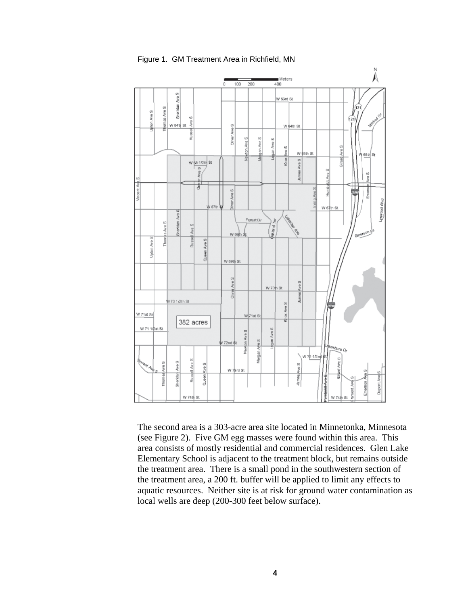Figure 1. GM Treatment Area in Richfield, MN



The second area is a 303-acre area site located in Minnetonka, Minnesota (see Figure 2). Five GM egg masses were found within this area. This area consists of mostly residential and commercial residences. Glen Lake Elementary School is adjacent to the treatment block, but remains outside the treatment area. There is a small pond in the southwestern section of the treatment area, a 200 ft. buffer will be applied to limit any effects to aquatic resources. Neither site is at risk for ground water contamination as local wells are deep (200-300 feet below surface).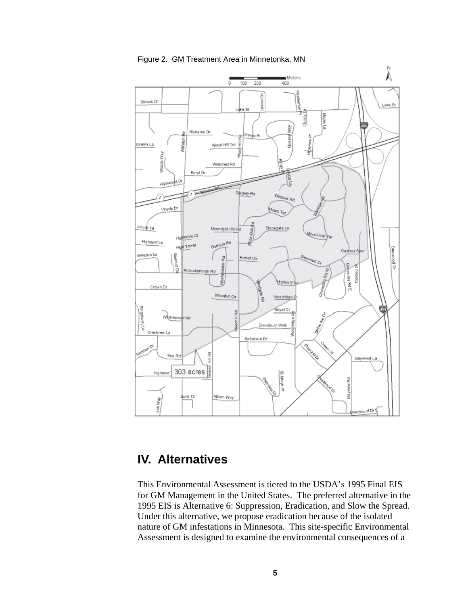<span id="page-9-0"></span>

Figure 2. GM Treatment Area in Minnetonka, MN

# **IV. Alternatives**

This Environmental Assessment is tiered to the USDA's 1995 Final EIS for GM Management in the United States. The preferred alternative in the 1995 EIS is Alternative 6: Suppression, Eradication, and Slow the Spread. Under this alternative, we propose eradication because of the isolated nature of GM infestations in Minnesota. This site-specific Environmental Assessment is designed to examine the environmental consequences of a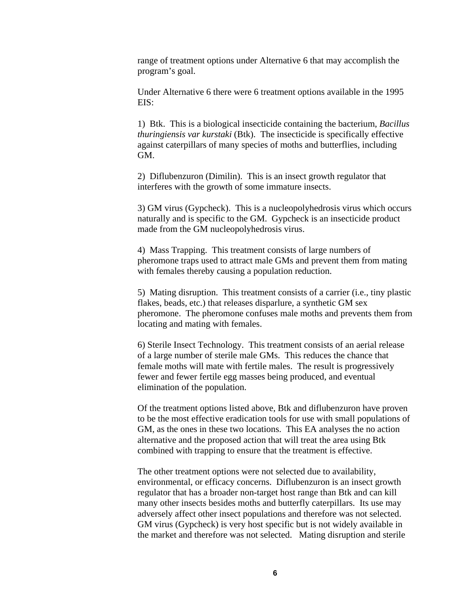range of treatment options under Alternative 6 that may accomplish the program's goal.

Under Alternative 6 there were 6 treatment options available in the 1995 EIS:

1) Btk. This is a biological insecticide containing the bacterium, *Bacillus thuringiensis var kurstaki* (Btk). The insecticide is specifically effective against caterpillars of many species of moths and butterflies, including GM.

2) Diflubenzuron (Dimilin). This is an insect growth regulator that interferes with the growth of some immature insects.

3) GM virus (Gypcheck). This is a nucleopolyhedrosis virus which occurs naturally and is specific to the GM. Gypcheck is an insecticide product made from the GM nucleopolyhedrosis virus.

4) Mass Trapping. This treatment consists of large numbers of pheromone traps used to attract male GMs and prevent them from mating with females thereby causing a population reduction.

5) Mating disruption. This treatment consists of a carrier (i.e., tiny plastic flakes, beads, etc.) that releases disparlure, a synthetic GM sex pheromone. The pheromone confuses male moths and prevents them from locating and mating with females.

6) Sterile Insect Technology. This treatment consists of an aerial release of a large number of sterile male GMs. This reduces the chance that female moths will mate with fertile males. The result is progressively fewer and fewer fertile egg masses being produced, and eventual elimination of the population.

Of the treatment options listed above, Btk and diflubenzuron have proven to be the most effective eradication tools for use with small populations of GM, as the ones in these two locations. This EA analyses the no action alternative and the proposed action that will treat the area using Btk combined with trapping to ensure that the treatment is effective.

The other treatment options were not selected due to availability, environmental, or efficacy concerns. Diflubenzuron is an insect growth regulator that has a broader non-target host range than Btk and can kill many other insects besides moths and butterfly caterpillars. Its use may adversely affect other insect populations and therefore was not selected. GM virus (Gypcheck) is very host specific but is not widely available in the market and therefore was not selected. Mating disruption and sterile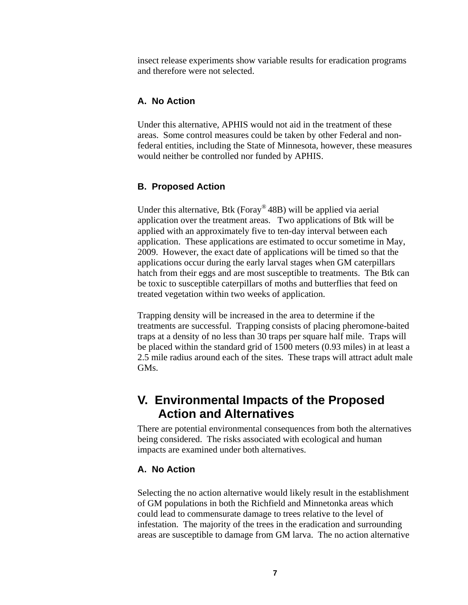<span id="page-11-0"></span>insect release experiments show variable results for eradication programs and therefore were not selected.

#### **A. No Action**

Under this alternative, APHIS would not aid in the treatment of these areas. Some control measures could be taken by other Federal and nonfederal entities, including the State of Minnesota, however, these measures would neither be controlled nor funded by APHIS.

#### **B. Proposed Action**

Under this alternative, Btk (Foray® 48B) will be applied via aerial application over the treatment areas. Two applications of Btk will be applied with an approximately five to ten-day interval between each application. These applications are estimated to occur sometime in May, 2009. However, the exact date of applications will be timed so that the applications occur during the early larval stages when GM caterpillars hatch from their eggs and are most susceptible to treatments. The Btk can be toxic to susceptible caterpillars of moths and butterflies that feed on treated vegetation within two weeks of application.

Trapping density will be increased in the area to determine if the treatments are successful. Trapping consists of placing pheromone-baited traps at a density of no less than 30 traps per square half mile. Traps will be placed within the standard grid of 1500 meters (0.93 miles) in at least a 2.5 mile radius around each of the sites. These traps will attract adult male GMs.

# **V. Environmental Impacts of the Proposed Action and Alternatives**

There are potential environmental consequences from both the alternatives being considered. The risks associated with ecological and human impacts are examined under both alternatives.

#### **A. No Action**

Selecting the no action alternative would likely result in the establishment of GM populations in both the Richfield and Minnetonka areas which could lead to commensurate damage to trees relative to the level of infestation. The majority of the trees in the eradication and surrounding areas are susceptible to damage from GM larva. The no action alternative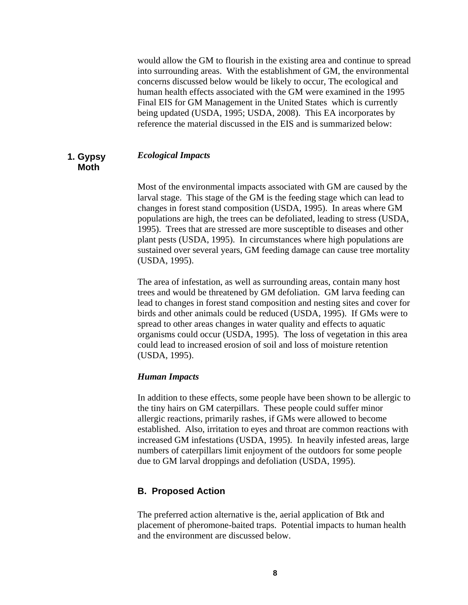<span id="page-12-0"></span>would allow the GM to flourish in the existing area and continue to spread into surrounding areas. With the establishment of GM, the environmental concerns discussed below would be likely to occur, The ecological and human health effects associated with the GM were examined in the 1995 Final EIS for GM Management in the United States which is currently being updated (USDA, 1995; USDA, 2008). This EA incorporates by reference the material discussed in the EIS and is summarized below:

#### **1. Gypsy** *Ecological Impacts*  **Moth**

Most of the environmental impacts associated with GM are caused by the larval stage. This stage of the GM is the feeding stage which can lead to changes in forest stand composition (USDA, 1995). In areas where GM populations are high, the trees can be defoliated, leading to stress (USDA, 1995). Trees that are stressed are more susceptible to diseases and other plant pests (USDA, 1995). In circumstances where high populations are sustained over several years, GM feeding damage can cause tree mortality (USDA, 1995).

The area of infestation, as well as surrounding areas, contain many host trees and would be threatened by GM defoliation. GM larva feeding can lead to changes in forest stand composition and nesting sites and cover for birds and other animals could be reduced (USDA, 1995). If GMs were to spread to other areas changes in water quality and effects to aquatic organisms could occur (USDA, 1995). The loss of vegetation in this area could lead to increased erosion of soil and loss of moisture retention (USDA, 1995).

#### *Human Impacts*

In addition to these effects, some people have been shown to be allergic to the tiny hairs on GM caterpillars. These people could suffer minor allergic reactions, primarily rashes, if GMs were allowed to become established. Also, irritation to eyes and throat are common reactions with increased GM infestations (USDA, 1995). In heavily infested areas, large numbers of caterpillars limit enjoyment of the outdoors for some people due to GM larval droppings and defoliation (USDA, 1995).

#### **B. Proposed Action**

The preferred action alternative is the, aerial application of Btk and placement of pheromone-baited traps. Potential impacts to human health and the environment are discussed below.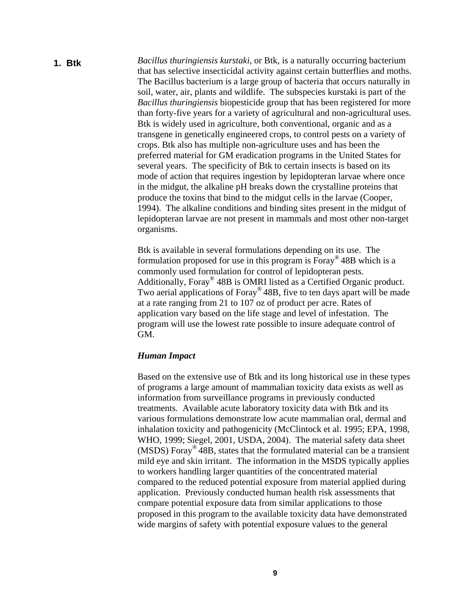*Bacillus thuringiensis kurstaki*, or Btk, is a naturally occurring bacterium that has selective insecticidal activity against certain butterflies and moths. The Bacillus bacterium is a large group of bacteria that occurs naturally in soil, water, air, plants and wildlife. The subspecies kurstaki is part of the *Bacillus thuringiensis* biopesticide group that has been registered for more than forty-five years for a variety of agricultural and non-agricultural uses. Btk is widely used in agriculture, both conventional, organic and as a transgene in genetically engineered crops, to control pests on a variety of crops. Btk also has multiple non-agriculture uses and has been the preferred material for GM eradication programs in the United States for several years. The specificity of Btk to certain insects is based on its mode of action that requires ingestion by lepidopteran larvae where once in the midgut, the alkaline pH breaks down the crystalline proteins that produce the toxins that bind to the midgut cells in the larvae (Cooper, 1994). The alkaline conditions and binding sites present in the midgut of lepidopteran larvae are not present in mammals and most other non-target organisms. **1. Btk** 

> Btk is available in several formulations depending on its use. The formulation proposed for use in this program is  $F_{\text{or}q}$ <sup>®</sup> 48B which is a commonly used formulation for control of lepidopteran pests. Additionally, Foray® 48B is OMRI listed as a Certified Organic product. Two aerial applications of Foray® 48B, five to ten days apart will be made at a rate ranging from 21 to 107 oz of product per acre. Rates of application vary based on the life stage and level of infestation. The program will use the lowest rate possible to insure adequate control of GM.

#### *Human Impact*

Based on the extensive use of Btk and its long historical use in these types of programs a large amount of mammalian toxicity data exists as well as information from surveillance programs in previously conducted treatments. Available acute laboratory toxicity data with Btk and its various formulations demonstrate low acute mammalian oral, dermal and inhalation toxicity and pathogenicity (McClintock et al. 1995; EPA, 1998, WHO, 1999; Siegel, 2001, USDA, 2004). The material safety data sheet (MSDS) Foray® 48B, states that the formulated material can be a transient mild eye and skin irritant. The information in the MSDS typically applies to workers handling larger quantities of the concentrated material compared to the reduced potential exposure from material applied during application. Previously conducted human health risk assessments that compare potential exposure data from similar applications to those proposed in this program to the available toxicity data have demonstrated wide margins of safety with potential exposure values to the general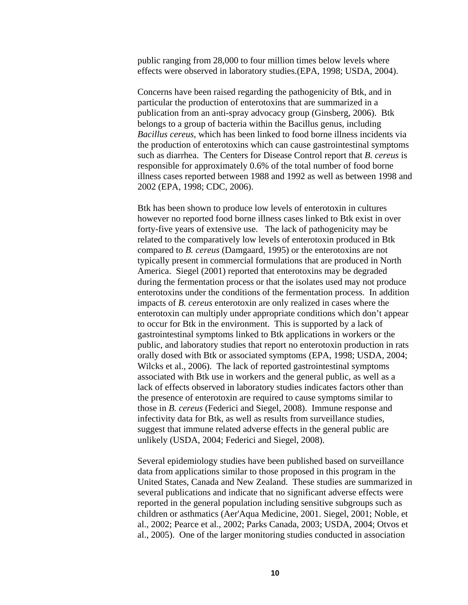public ranging from 28,000 to four million times below levels where effects were observed in laboratory studies.(EPA, 1998; USDA, 2004).

Concerns have been raised regarding the pathogenicity of Btk, and in particular the production of enterotoxins that are summarized in a publication from an anti-spray advocacy group (Ginsberg, 2006). Btk belongs to a group of bacteria within the Bacillus genus, including *Bacillus cereus*, which has been linked to food borne illness incidents via the production of enterotoxins which can cause gastrointestinal symptoms such as diarrhea. The Centers for Disease Control report that *B. cereus* is responsible for approximately 0.6% of the total number of food borne illness cases reported between 1988 and 1992 as well as between 1998 and 2002 (EPA, 1998; CDC, 2006).

Btk has been shown to produce low levels of enterotoxin in cultures however no reported food borne illness cases linked to Btk exist in over forty-five years of extensive use. The lack of pathogenicity may be related to the comparatively low levels of enterotoxin produced in Btk compared to *B. cereus* (Damgaard, 1995) or the enterotoxins are not typically present in commercial formulations that are produced in North America. Siegel (2001) reported that enterotoxins may be degraded during the fermentation process or that the isolates used may not produce enterotoxins under the conditions of the fermentation process. In addition impacts of *B. cereus* enterotoxin are only realized in cases where the enterotoxin can multiply under appropriate conditions which don't appear to occur for Btk in the environment. This is supported by a lack of gastrointestinal symptoms linked to Btk applications in workers or the public, and laboratory studies that report no enterotoxin production in rats orally dosed with Btk or associated symptoms (EPA, 1998; USDA, 2004; Wilcks et al., 2006). The lack of reported gastrointestinal symptoms associated with Btk use in workers and the general public, as well as a lack of effects observed in laboratory studies indicates factors other than the presence of enterotoxin are required to cause symptoms similar to those in *B. cereus* (Federici and Siegel, 2008). Immune response and infectivity data for Btk, as well as results from surveillance studies, suggest that immune related adverse effects in the general public are unlikely (USDA, 2004; Federici and Siegel, 2008).

Several epidemiology studies have been published based on surveillance data from applications similar to those proposed in this program in the United States, Canada and New Zealand. These studies are summarized in several publications and indicate that no significant adverse effects were reported in the general population including sensitive subgroups such as children or asthmatics (Aer'Aqua Medicine, 2001. Siegel, 2001; Noble, et al., 2002; Pearce et al., 2002; Parks Canada, 2003; USDA, 2004; Otvos et al., 2005). One of the larger monitoring studies conducted in association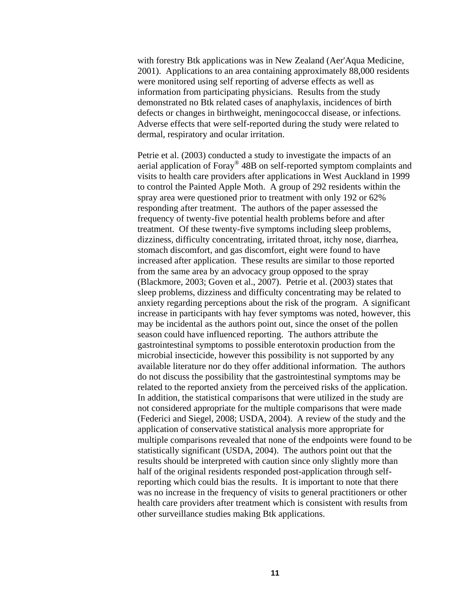with forestry Btk applications was in New Zealand (Aer'Aqua Medicine, 2001). Applications to an area containing approximately 88,000 residents were monitored using self reporting of adverse effects as well as information from participating physicians. Results from the study demonstrated no Btk related cases of anaphylaxis, incidences of birth defects or changes in birthweight, meningococcal disease, or infections*.* Adverse effects that were self-reported during the study were related to dermal, respiratory and ocular irritation.

Petrie et al. (2003) conducted a study to investigate the impacts of an aerial application of Foray® 48B on self-reported symptom complaints and visits to health care providers after applications in West Auckland in 1999 to control the Painted Apple Moth. A group of 292 residents within the spray area were questioned prior to treatment with only 192 or 62% responding after treatment. The authors of the paper assessed the frequency of twenty-five potential health problems before and after treatment. Of these twenty-five symptoms including sleep problems, dizziness, difficulty concentrating, irritated throat, itchy nose, diarrhea, stomach discomfort, and gas discomfort, eight were found to have increased after application. These results are similar to those reported from the same area by an advocacy group opposed to the spray (Blackmore, 2003; Goven et al., 2007). Petrie et al. (2003) states that sleep problems, dizziness and difficulty concentrating may be related to anxiety regarding perceptions about the risk of the program. A significant increase in participants with hay fever symptoms was noted, however, this may be incidental as the authors point out, since the onset of the pollen season could have influenced reporting. The authors attribute the gastrointestinal symptoms to possible enterotoxin production from the microbial insecticide, however this possibility is not supported by any available literature nor do they offer additional information. The authors do not discuss the possibility that the gastrointestinal symptoms may be related to the reported anxiety from the perceived risks of the application. In addition, the statistical comparisons that were utilized in the study are not considered appropriate for the multiple comparisons that were made (Federici and Siegel, 2008; USDA, 2004). A review of the study and the application of conservative statistical analysis more appropriate for multiple comparisons revealed that none of the endpoints were found to be statistically significant (USDA, 2004). The authors point out that the results should be interpreted with caution since only slightly more than half of the original residents responded post-application through selfreporting which could bias the results. It is important to note that there was no increase in the frequency of visits to general practitioners or other health care providers after treatment which is consistent with results from other surveillance studies making Btk applications.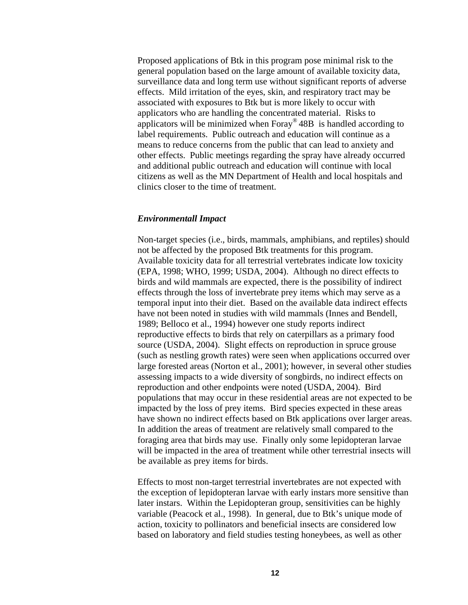Proposed applications of Btk in this program pose minimal risk to the general population based on the large amount of available toxicity data, surveillance data and long term use without significant reports of adverse effects. Mild irritation of the eyes, skin, and respiratory tract may be associated with exposures to Btk but is more likely to occur with applicators who are handling the concentrated material. Risks to applicators will be minimized when  $Foray^{\circledast}$  48B is handled according to label requirements. Public outreach and education will continue as a means to reduce concerns from the public that can lead to anxiety and other effects. Public meetings regarding the spray have already occurred and additional public outreach and education will continue with local citizens as well as the MN Department of Health and local hospitals and clinics closer to the time of treatment.

#### *Environmentall Impact*

Non-target species (i.e., birds, mammals, amphibians, and reptiles) should not be affected by the proposed Btk treatments for this program. Available toxicity data for all terrestrial vertebrates indicate low toxicity (EPA, 1998; WHO, 1999; USDA, 2004). Although no direct effects to birds and wild mammals are expected, there is the possibility of indirect effects through the loss of invertebrate prey items which may serve as a temporal input into their diet. Based on the available data indirect effects have not been noted in studies with wild mammals (Innes and Bendell, 1989; Belloco et al., 1994) however one study reports indirect reproductive effects to birds that rely on caterpillars as a primary food source (USDA, 2004). Slight effects on reproduction in spruce grouse (such as nestling growth rates) were seen when applications occurred over large forested areas (Norton et al., 2001); however, in several other studies assessing impacts to a wide diversity of songbirds, no indirect effects on reproduction and other endpoints were noted (USDA, 2004). Bird populations that may occur in these residential areas are not expected to be impacted by the loss of prey items. Bird species expected in these areas have shown no indirect effects based on Btk applications over larger areas. In addition the areas of treatment are relatively small compared to the foraging area that birds may use. Finally only some lepidopteran larvae will be impacted in the area of treatment while other terrestrial insects will be available as prey items for birds.

Effects to most non-target terrestrial invertebrates are not expected with the exception of lepidopteran larvae with early instars more sensitive than later instars. Within the Lepidopteran group, sensitivities can be highly variable (Peacock et al., 1998). In general, due to Btk's unique mode of action, toxicity to pollinators and beneficial insects are considered low based on laboratory and field studies testing honeybees, as well as other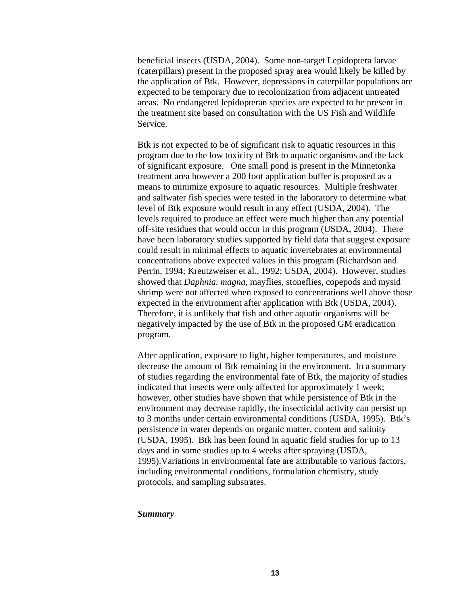beneficial insects (USDA, 2004). Some non-target Lepidoptera larvae (caterpillars) present in the proposed spray area would likely be killed by the application of Btk. However, depressions in caterpillar populations are expected to be temporary due to recolonization from adjacent untreated areas. No endangered lepidopteran species are expected to be present in the treatment site based on consultation with the US Fish and Wildlife Service.

Btk is not expected to be of significant risk to aquatic resources in this program due to the low toxicity of Btk to aquatic organisms and the lack of significant exposure. One small pond is present in the Minnetonka treatment area however a 200 foot application buffer is proposed as a means to minimize exposure to aquatic resources. Multiple freshwater and saltwater fish species were tested in the laboratory to determine what level of Btk exposure would result in any effect (USDA, 2004). The levels required to produce an effect were much higher than any potential off-site residues that would occur in this program (USDA, 2004). There have been laboratory studies supported by field data that suggest exposure could result in minimal effects to aquatic invertebrates at environmental concentrations above expected values in this program (Richardson and Perrin, 1994; Kreutzweiser et al., 1992; USDA, 2004). However, studies showed that *Daphnia. magna*, mayflies, stoneflies, copepods and mysid shrimp were not affected when exposed to concentrations well above those expected in the environment after application with Btk (USDA, 2004). Therefore, it is unlikely that fish and other aquatic organisms will be negatively impacted by the use of Btk in the proposed GM eradication program.

After application, exposure to light, higher temperatures, and moisture decrease the amount of Btk remaining in the environment. In a summary of studies regarding the environmental fate of Btk, the majority of studies indicated that insects were only affected for approximately 1 week; however, other studies have shown that while persistence of Btk in the environment may decrease rapidly, the insecticidal activity can persist up to 3 months under certain environmental conditions (USDA, 1995). Btk's persistence in water depends on organic matter, content and salinity (USDA, 1995). Btk has been found in aquatic field studies for up to 13 days and in some studies up to 4 weeks after spraying (USDA, 1995).Variations in environmental fate are attributable to various factors, including environmental conditions, formulation chemistry, study protocols, and sampling substrates.

#### *Summary*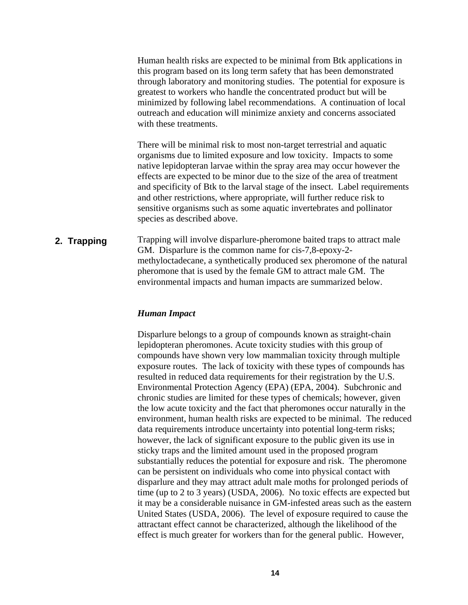Human health risks are expected to be minimal from Btk applications in this program based on its long term safety that has been demonstrated through laboratory and monitoring studies. The potential for exposure is greatest to workers who handle the concentrated product but will be minimized by following label recommendations. A continuation of local outreach and education will minimize anxiety and concerns associated with these treatments.

There will be minimal risk to most non-target terrestrial and aquatic organisms due to limited exposure and low toxicity. Impacts to some native lepidopteran larvae within the spray area may occur however the effects are expected to be minor due to the size of the area of treatment and specificity of Btk to the larval stage of the insect. Label requirements and other restrictions, where appropriate, will further reduce risk to sensitive organisms such as some aquatic invertebrates and pollinator species as described above.

#### **2. Trapping**

Trapping will involve disparlure-pheromone baited traps to attract male GM. Disparlure is the common name for cis-7,8-epoxy-2 methyloctadecane, a synthetically produced sex pheromone of the natural pheromone that is used by the female GM to attract male GM. The environmental impacts and human impacts are summarized below.

#### *Human Impact*

Disparlure belongs to a group of compounds known as straight-chain lepidopteran pheromones. Acute toxicity studies with this group of compounds have shown very low mammalian toxicity through multiple exposure routes. The lack of toxicity with these types of compounds has resulted in reduced data requirements for their registration by the U.S. Environmental Protection Agency (EPA) (EPA, 2004). Subchronic and chronic studies are limited for these types of chemicals; however, given the low acute toxicity and the fact that pheromones occur naturally in the environment, human health risks are expected to be minimal. The reduced data requirements introduce uncertainty into potential long-term risks; however, the lack of significant exposure to the public given its use in sticky traps and the limited amount used in the proposed program substantially reduces the potential for exposure and risk. The pheromone can be persistent on individuals who come into physical contact with disparlure and they may attract adult male moths for prolonged periods of time (up to 2 to 3 years) (USDA, 2006). No toxic effects are expected but it may be a considerable nuisance in GM-infested areas such as the eastern United States (USDA, 2006). The level of exposure required to cause the attractant effect cannot be characterized, although the likelihood of the effect is much greater for workers than for the general public. However,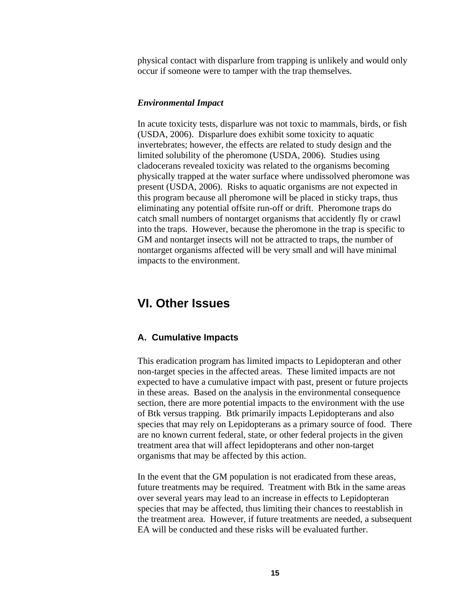<span id="page-19-0"></span>physical contact with disparlure from trapping is unlikely and would only occur if someone were to tamper with the trap themselves.

#### *Environmental Impact*

In acute toxicity tests, disparlure was not toxic to mammals, birds, or fish (USDA, 2006). Disparlure does exhibit some toxicity to aquatic invertebrates; however, the effects are related to study design and the limited solubility of the pheromone (USDA, 2006). Studies using cladocerans revealed toxicity was related to the organisms becoming physically trapped at the water surface where undissolved pheromone was present (USDA, 2006). Risks to aquatic organisms are not expected in this program because all pheromone will be placed in sticky traps, thus eliminating any potential offsite run-off or drift. Pheromone traps do catch small numbers of nontarget organisms that accidently fly or crawl into the traps. However, because the pheromone in the trap is specific to GM and nontarget insects will not be attracted to traps, the number of nontarget organisms affected will be very small and will have minimal impacts to the environment.

### **VI. Other Issues**

#### **A. Cumulative Impacts**

This eradication program has limited impacts to Lepidopteran and other non-target species in the affected areas. These limited impacts are not expected to have a cumulative impact with past, present or future projects in these areas. Based on the analysis in the environmental consequence section, there are more potential impacts to the environment with the use of Btk versus trapping. Btk primarily impacts Lepidopterans and also species that may rely on Lepidopterans as a primary source of food. There are no known current federal, state, or other federal projects in the given treatment area that will affect lepidopterans and other non-target organisms that may be affected by this action.

In the event that the GM population is not eradicated from these areas, future treatments may be required. Treatment with Btk in the same areas over several years may lead to an increase in effects to Lepidopteran species that may be affected, thus limiting their chances to reestablish in the treatment area. However, if future treatments are needed, a subsequent EA will be conducted and these risks will be evaluated further.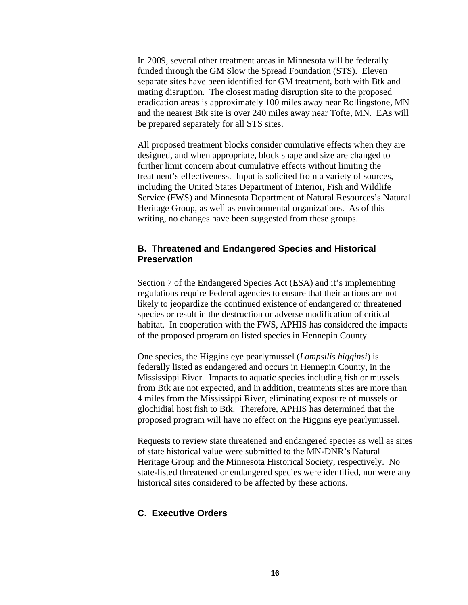<span id="page-20-0"></span>In 2009, several other treatment areas in Minnesota will be federally funded through the GM Slow the Spread Foundation (STS). Eleven separate sites have been identified for GM treatment, both with Btk and mating disruption. The closest mating disruption site to the proposed eradication areas is approximately 100 miles away near Rollingstone, MN and the nearest Btk site is over 240 miles away near Tofte, MN. EAs will be prepared separately for all STS sites.

All proposed treatment blocks consider cumulative effects when they are designed, and when appropriate, block shape and size are changed to further limit concern about cumulative effects without limiting the treatment's effectiveness. Input is solicited from a variety of sources, including the United States Department of Interior, Fish and Wildlife Service (FWS) and Minnesota Department of Natural Resources's Natural Heritage Group, as well as environmental organizations. As of this writing, no changes have been suggested from these groups.

#### **B. Threatened and Endangered Species and Historical Preservation**

Section 7 of the Endangered Species Act (ESA) and it's implementing regulations require Federal agencies to ensure that their actions are not likely to jeopardize the continued existence of endangered or threatened species or result in the destruction or adverse modification of critical habitat. In cooperation with the FWS, APHIS has considered the impacts of the proposed program on listed species in Hennepin County.

One species, the Higgins eye pearlymussel (*Lampsilis higginsi*) is federally listed as endangered and occurs in Hennepin County, in the Mississippi River. Impacts to aquatic species including fish or mussels from Btk are not expected, and in addition, treatments sites are more than 4 miles from the Mississippi River, eliminating exposure of mussels or glochidial host fish to Btk. Therefore, APHIS has determined that the proposed program will have no effect on the Higgins eye pearlymussel.

Requests to review state threatened and endangered species as well as sites of state historical value were submitted to the MN-DNR's Natural Heritage Group and the Minnesota Historical Society, respectively. No state-listed threatened or endangered species were identified, nor were any historical sites considered to be affected by these actions.

#### **C. Executive Orders**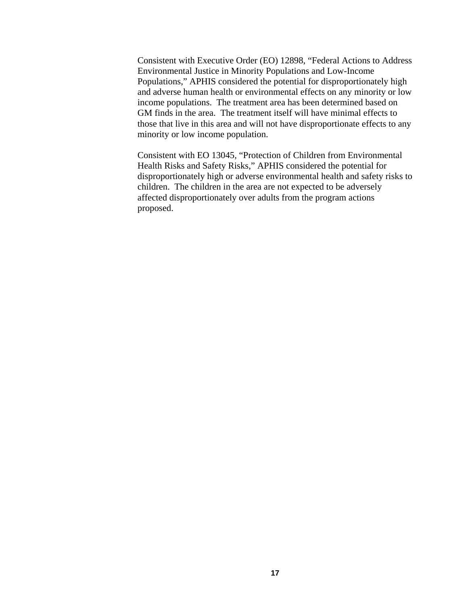Consistent with Executive Order (EO) 12898, "Federal Actions to Address Environmental Justice in Minority Populations and Low-Income Populations," APHIS considered the potential for disproportionately high and adverse human health or environmental effects on any minority or low income populations. The treatment area has been determined based on GM finds in the area. The treatment itself will have minimal effects to those that live in this area and will not have disproportionate effects to any minority or low income population.

Consistent with EO 13045, "Protection of Children from Environmental Health Risks and Safety Risks," APHIS considered the potential for disproportionately high or adverse environmental health and safety risks to children. The children in the area are not expected to be adversely affected disproportionately over adults from the program actions proposed.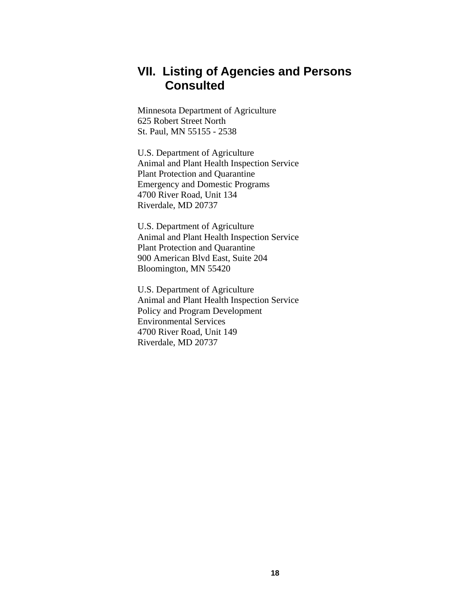# <span id="page-22-0"></span>**VII. Listing of Agencies and Persons Consulted**

Minnesota Department of Agriculture 625 Robert Street North St. Paul, MN 55155 - 2538

U.S. Department of Agriculture Animal and Plant Health Inspection Service Plant Protection and Quarantine Emergency and Domestic Programs 4700 River Road, Unit 134 Riverdale, MD 20737

U.S. Department of Agriculture Animal and Plant Health Inspection Service Plant Protection and Quarantine 900 American Blvd East, Suite 204 Bloomington, MN 55420

U.S. Department of Agriculture Animal and Plant Health Inspection Service Policy and Program Development Environmental Services 4700 River Road, Unit 149 Riverdale, MD 20737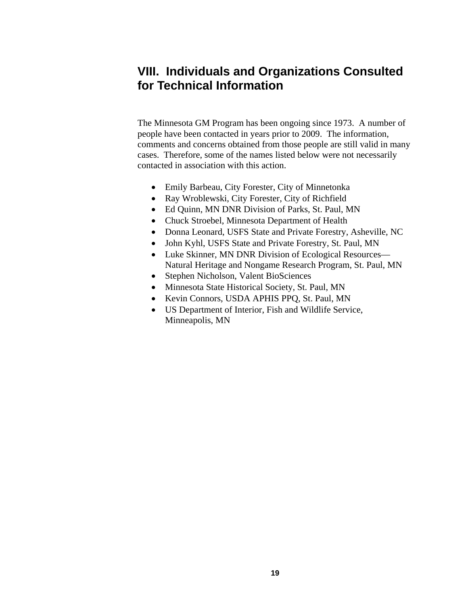# <span id="page-23-0"></span>**VIII. Individuals and Organizations Consulted for Technical Information**

The Minnesota GM Program has been ongoing since 1973. A number of people have been contacted in years prior to 2009. The information, comments and concerns obtained from those people are still valid in many cases. Therefore, some of the names listed below were not necessarily contacted in association with this action.

- Emily Barbeau, City Forester, City of Minnetonka
- Ray Wroblewski, City Forester, City of Richfield
- Ed Quinn, MN DNR Division of Parks, St. Paul, MN
- Chuck Stroebel, Minnesota Department of Health
- Donna Leonard, USFS State and Private Forestry, Asheville, NC
- John Kyhl, USFS State and Private Forestry, St. Paul, MN
- Luke Skinner, MN DNR Division of Ecological Resources— Natural Heritage and Nongame Research Program, St. Paul, MN
- Stephen Nicholson, Valent BioSciences
- Minnesota State Historical Society, St. Paul, MN
- Kevin Connors, USDA APHIS PPQ, St. Paul, MN
- US Department of Interior, Fish and Wildlife Service, Minneapolis, MN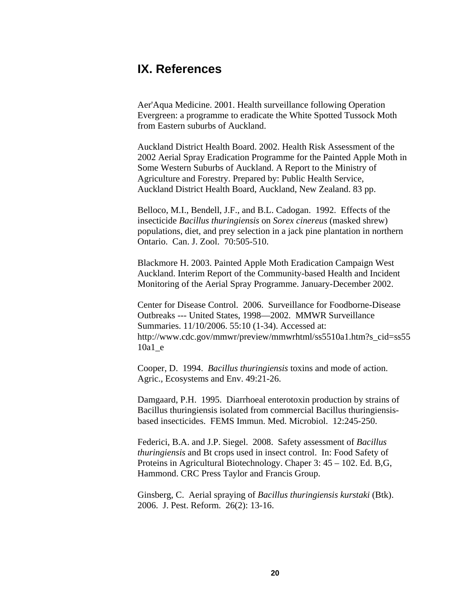# <span id="page-24-0"></span>**IX. References**

Aer'Aqua Medicine. 2001. Health surveillance following Operation Evergreen: a programme to eradicate the White Spotted Tussock Moth from Eastern suburbs of Auckland.

Auckland District Health Board. 2002. Health Risk Assessment of the 2002 Aerial Spray Eradication Programme for the Painted Apple Moth in Some Western Suburbs of Auckland. A Report to the Ministry of Agriculture and Forestry. Prepared by: Public Health Service, Auckland District Health Board, Auckland, New Zealand. 83 pp.

Belloco, M.I., Bendell, J.F., and B.L. Cadogan. 1992. Effects of the insecticide *Bacillus thuringiensis* on *Sorex cinereus* (masked shrew) populations, diet, and prey selection in a jack pine plantation in northern Ontario. Can. J. Zool. 70:505-510.

Blackmore H. 2003. Painted Apple Moth Eradication Campaign West Auckland. Interim Report of the Community-based Health and Incident Monitoring of the Aerial Spray Programme. January-December 2002.

Center for Disease Control. 2006. Surveillance for Foodborne-Disease Outbreaks --- United States, 1998—2002. MMWR Surveillance Summaries. 11/10/2006. 55:10 (1-34). Accessed at: [http://www.cdc.gov/mmwr/preview/mmwrhtml/ss5510a1.htm?s\\_cid=ss55](http://www.cdc.gov/mmwr/preview/mmwrhtml/ss5510a1.htm?s_cid=ss5510a1_e) [10a1\\_e](http://www.cdc.gov/mmwr/preview/mmwrhtml/ss5510a1.htm?s_cid=ss5510a1_e)

Cooper, D. 1994. *Bacillus thuringiensis* toxins and mode of action. Agric., Ecosystems and Env. 49:21-26.

Damgaard, P.H. 1995. Diarrhoeal enterotoxin production by strains of Bacillus thuringiensis isolated from commercial Bacillus thuringiensisbased insecticides. FEMS Immun. Med. Microbiol. 12:245-250.

Federici, B.A. and J.P. Siegel. 2008. Safety assessment of *Bacillus thuringiensis* and Bt crops used in insect control. In: Food Safety of Proteins in Agricultural Biotechnology. Chaper 3: 45 – 102. Ed. B,G, Hammond. CRC Press Taylor and Francis Group.

Ginsberg, C. Aerial spraying of *Bacillus thuringiensis kurstaki* (Btk). 2006. J. Pest. Reform. 26(2): 13-16.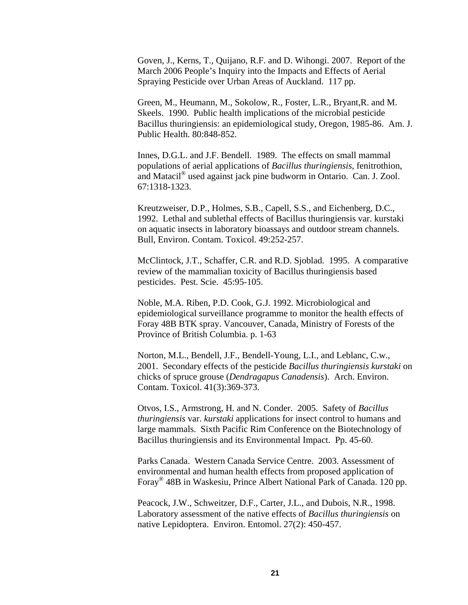Goven, J., Kerns, T., Quijano, R.F. and D. Wihongi. 2007. Report of the March 2006 People's Inquiry into the Impacts and Effects of Aerial Spraying Pesticide over Urban Areas of Auckland. 117 pp.

Green, M., Heumann, M., Sokolow, R., Foster, L.R., Bryant,R. and M. Skeels. 1990. Public health implications of the microbial pesticide Bacillus thuringiensis: an epidemiological study, Oregon, 1985-86. Am. J. Public Health. 80:848-852.

Innes, D.G.L. and J.F. Bendell. 1989. The effects on small mammal populations of aerial applications of *Bacillus thuringiensis*, fenitrothion, and Matacil® used against jack pine budworm in Ontario. Can. J. Zool. 67:1318-1323.

Kreutzweiser, D.P., Holmes, S.B., Capell, S.S., and Eichenberg, D.C., 1992. Lethal and sublethal effects of Bacillus thuringiensis var. kurstaki on aquatic insects in laboratory bioassays and outdoor stream channels. Bull, Environ. Contam. Toxicol. 49:252-257.

McClintock, J.T., Schaffer, C.R. and R.D. Sjoblad. 1995. A comparative review of the mammalian toxicity of Bacillus thuringiensis based pesticides. Pest. Scie. 45:95-105.

Noble, M.A. Riben, P.D. Cook, G.J. 1992. Microbiological and epidemiological surveillance programme to monitor the health effects of Foray 48B BTK spray. Vancouver, Canada, Ministry of Forests of the Province of British Columbia. p. 1-63

Norton, M.L., Bendell, J.F., Bendell-Young, L.I., and Leblanc, C.w., 2001. Secondary effects of the pesticide *Bacillus thuringiensis kurstaki* on chicks of spruce grouse (*Dendragapus Canadensis*). Arch. Environ. Contam. Toxicol. 41(3):369-373.

Otvos, I.S., Armstrong, H. and N. Conder. 2005. Safety of *Bacillus thuringiensis* var. *kurstaki* applications for insect control to humans and large mammals. Sixth Pacific Rim Conference on the Biotechnology of Bacillus thuringiensis and its Environmental Impact. Pp. 45-60.

Parks Canada. Western Canada Service Centre. 2003. Assessment of environmental and human health effects from proposed application of Foray® 48B in Waskesiu, Prince Albert National Park of Canada. 120 pp.

Peacock, J.W., Schweitzer, D.F., Carter, J.L., and Dubois, N.R., 1998. Laboratory assessment of the native effects of *Bacillus thuringiensis* on native Lepidoptera. Environ. Entomol. 27(2): 450-457.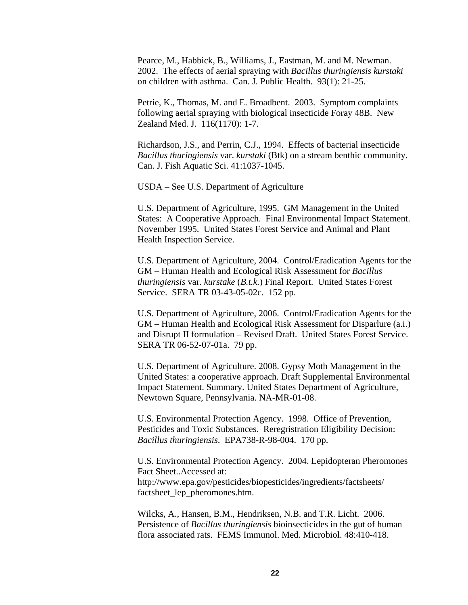Pearce, M., Habbick, B., Williams, J., Eastman, M. and M. Newman. 2002. The effects of aerial spraying with *Bacillus thuringiensis kurstaki* on children with asthma. Can. J. Public Health. 93(1): 21-25.

Petrie, K., Thomas, M. and E. Broadbent. 2003. Symptom complaints following aerial spraying with biological insecticide Foray 48B. New Zealand Med. J. 116(1170): 1-7.

Richardson, J.S., and Perrin, C.J., 1994. Effects of bacterial insecticide *Bacillus thuringiensis* var. *kurstaki* (Btk) on a stream benthic community. Can. J. Fish Aquatic Sci. 41:1037-1045.

USDA – See U.S. Department of Agriculture

U.S. Department of Agriculture, 1995. GM Management in the United States: A Cooperative Approach. Final Environmental Impact Statement. November 1995. United States Forest Service and Animal and Plant Health Inspection Service.

U.S. Department of Agriculture, 2004. Control/Eradication Agents for the GM – Human Health and Ecological Risk Assessment for *Bacillus thuringiensis* var. *kurstake* (*B.t.k.*) Final Report. United States Forest Service. SERA TR 03-43-05-02c. 152 pp.

U.S. Department of Agriculture, 2006. Control/Eradication Agents for the GM – Human Health and Ecological Risk Assessment for Disparlure (a.i.) and Disrupt II formulation – Revised Draft. United States Forest Service. SERA TR 06-52-07-01a. 79 pp.

U.S. Department of Agriculture. 2008. Gypsy Moth Management in the United States: a cooperative approach. Draft Supplemental Environmental Impact Statement. Summary. United States Department of Agriculture, Newtown Square, Pennsylvania. NA-MR-01-08.

U.S. Environmental Protection Agency. 1998. Office of Prevention, Pesticides and Toxic Substances. Reregristration Eligibility Decision: *Bacillus thuringiensis*. EPA738-R-98-004. 170 pp.

U.S. Environmental Protection Agency. 2004. Lepidopteran Pheromones Fact Sheet..Accessed at: http://www.epa.gov/pesticides/biopesticides/ingredients/factsheets/ factsheet\_lep\_pheromones.htm.

Wilcks, A., Hansen, B.M., Hendriksen, N.B. and T.R. Licht. 2006. Persistence of *Bacillus thuringiensis* bioinsecticides in the gut of human flora associated rats. FEMS Immunol. Med. Microbiol. 48:410-418.